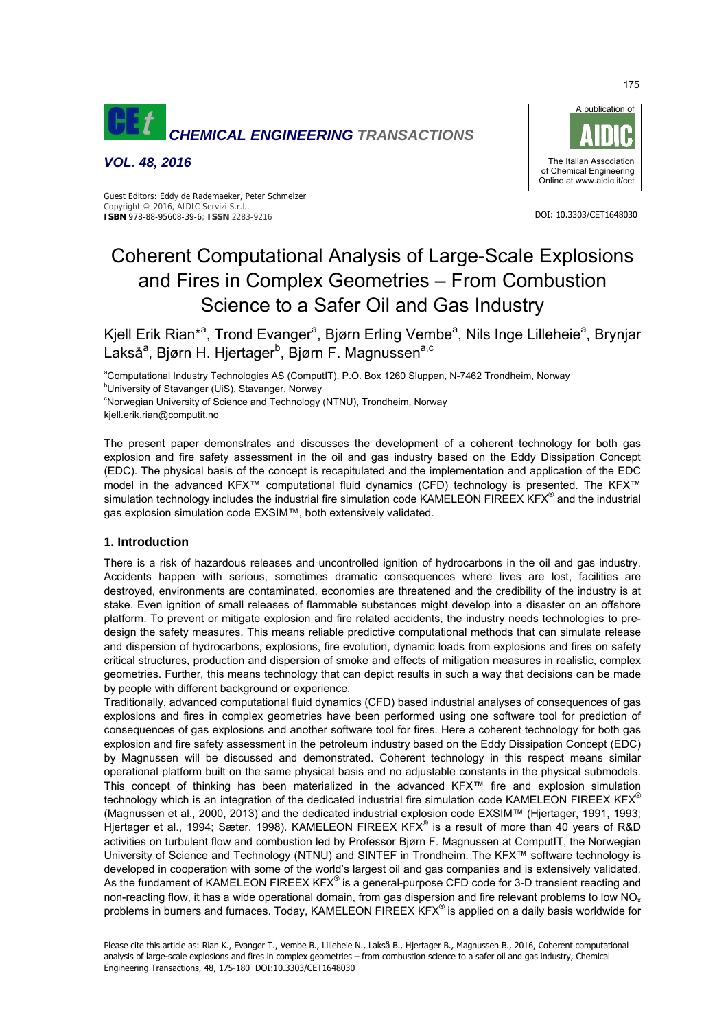

*VOL. 48, 2016* 



#### Guest Editors: Eddy de Rademaeker, Peter Schmelzer Copyright © 2016, AIDIC Servizi S.r.l., **ISBN** 978-88-95608-39-6; **ISSN** 2283-9216

# Coherent Computational Analysis of Large-Scale Explosions and Fires in Complex Geometries – From Combustion Science to a Safer Oil and Gas Industry

Kjell Erik Rian\*<sup>a</sup>, Trond Evanger<sup>a</sup>, Bjørn Erling Vembe<sup>a</sup>, Nils Inge Lilleheie<sup>a</sup>, Brynjar Lakså<sup>a</sup>, Bjørn H. Hjertager<sup>b</sup>, Bjørn F. Magnussen<sup>a,c</sup>

<sup>a</sup>Computational Industry Technologies AS (ComputIT), P.O. Box 1260 Sluppen, N-7462 Trondheim, Norway<br><sup>b</sup>i lniversity of Stavenger (LiiS), Stavenger, Naturuy

**<sup>b</sup>University of Stavanger (UiS), Stavanger, Norway** 

<sup>c</sup>Norwegian University of Science and Technology (NTNU), Trondheim, Norway kjell.erik.rian@computit.no

The present paper demonstrates and discusses the development of a coherent technology for both gas explosion and fire safety assessment in the oil and gas industry based on the Eddy Dissipation Concept (EDC). The physical basis of the concept is recapitulated and the implementation and application of the EDC model in the advanced KFX™ computational fluid dynamics (CFD) technology is presented. The KFX™ simulation technology includes the industrial fire simulation code KAMELEON FIREEX KFX® and the industrial gas explosion simulation code EXSIM™, both extensively validated.

# **1. Introduction**

There is a risk of hazardous releases and uncontrolled ignition of hydrocarbons in the oil and gas industry. Accidents happen with serious, sometimes dramatic consequences where lives are lost, facilities are destroyed, environments are contaminated, economies are threatened and the credibility of the industry is at stake. Even ignition of small releases of flammable substances might develop into a disaster on an offshore platform. To prevent or mitigate explosion and fire related accidents, the industry needs technologies to predesign the safety measures. This means reliable predictive computational methods that can simulate release and dispersion of hydrocarbons, explosions, fire evolution, dynamic loads from explosions and fires on safety critical structures, production and dispersion of smoke and effects of mitigation measures in realistic, complex geometries. Further, this means technology that can depict results in such a way that decisions can be made by people with different background or experience.

Traditionally, advanced computational fluid dynamics (CFD) based industrial analyses of consequences of gas explosions and fires in complex geometries have been performed using one software tool for prediction of consequences of gas explosions and another software tool for fires. Here a coherent technology for both gas explosion and fire safety assessment in the petroleum industry based on the Eddy Dissipation Concept (EDC) by Magnussen will be discussed and demonstrated. Coherent technology in this respect means similar operational platform built on the same physical basis and no adjustable constants in the physical submodels. This concept of thinking has been materialized in the advanced KFX™ fire and explosion simulation technology which is an integration of the dedicated industrial fire simulation code KAMELEON FIREEX KFX<sup>®</sup> (Magnussen et al., 2000, 2013) and the dedicated industrial explosion code EXSIM™ (Hjertager, 1991, 1993; Hjertager et al., 1994; Sæter, 1998). KAMELEON FIREEX KFX® is a result of more than 40 years of R&D activities on turbulent flow and combustion led by Professor Bjørn F. Magnussen at ComputIT, the Norwegian University of Science and Technology (NTNU) and SINTEF in Trondheim. The KFX™ software technology is developed in cooperation with some of the world's largest oil and gas companies and is extensively validated. As the fundament of KAMELEON FIREEX KFX® is a general-purpose CFD code for 3-D transient reacting and non-reacting flow, it has a wide operational domain, from gas dispersion and fire relevant problems to low  $NO<sub>x</sub>$ problems in burners and furnaces. Today, KAMELEON FIREEX KFX<sup>®</sup> is applied on a daily basis worldwide for

175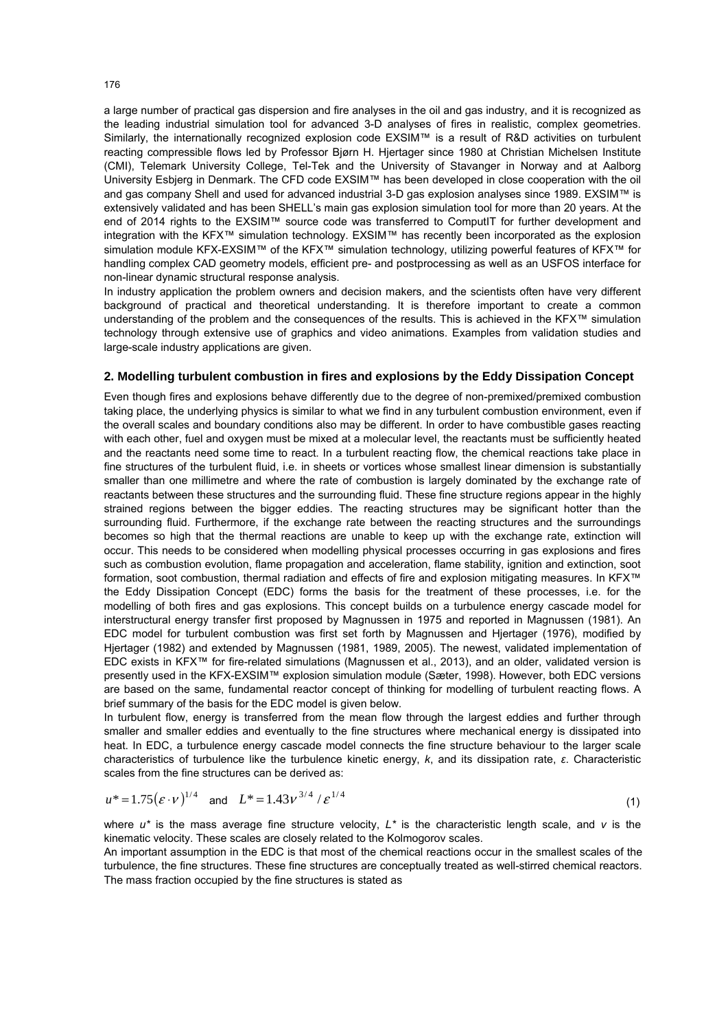a large number of practical gas dispersion and fire analyses in the oil and gas industry, and it is recognized as the leading industrial simulation tool for advanced 3-D analyses of fires in realistic, complex geometries. Similarly, the internationally recognized explosion code EXSIM™ is a result of R&D activities on turbulent reacting compressible flows led by Professor Bjørn H. Hjertager since 1980 at Christian Michelsen Institute (CMI), Telemark University College, Tel-Tek and the University of Stavanger in Norway and at Aalborg University Esbjerg in Denmark. The CFD code EXSIM™ has been developed in close cooperation with the oil and gas company Shell and used for advanced industrial 3-D gas explosion analyses since 1989. EXSIM™ is extensively validated and has been SHELL's main gas explosion simulation tool for more than 20 years. At the end of 2014 rights to the EXSIM™ source code was transferred to ComputIT for further development and integration with the KFX™ simulation technology. EXSIM™ has recently been incorporated as the explosion simulation module KFX-EXSIM™ of the KFX™ simulation technology, utilizing powerful features of KFX™ for handling complex CAD geometry models, efficient pre- and postprocessing as well as an USFOS interface for non-linear dynamic structural response analysis.

In industry application the problem owners and decision makers, and the scientists often have very different background of practical and theoretical understanding. It is therefore important to create a common understanding of the problem and the consequences of the results. This is achieved in the KFX™ simulation technology through extensive use of graphics and video animations. Examples from validation studies and large-scale industry applications are given.

### **2. Modelling turbulent combustion in fires and explosions by the Eddy Dissipation Concept**

Even though fires and explosions behave differently due to the degree of non-premixed/premixed combustion taking place, the underlying physics is similar to what we find in any turbulent combustion environment, even if the overall scales and boundary conditions also may be different. In order to have combustible gases reacting with each other, fuel and oxygen must be mixed at a molecular level, the reactants must be sufficiently heated and the reactants need some time to react. In a turbulent reacting flow, the chemical reactions take place in fine structures of the turbulent fluid, i.e. in sheets or vortices whose smallest linear dimension is substantially smaller than one millimetre and where the rate of combustion is largely dominated by the exchange rate of reactants between these structures and the surrounding fluid. These fine structure regions appear in the highly strained regions between the bigger eddies. The reacting structures may be significant hotter than the surrounding fluid. Furthermore, if the exchange rate between the reacting structures and the surroundings becomes so high that the thermal reactions are unable to keep up with the exchange rate, extinction will occur. This needs to be considered when modelling physical processes occurring in gas explosions and fires such as combustion evolution, flame propagation and acceleration, flame stability, ignition and extinction, soot formation, soot combustion, thermal radiation and effects of fire and explosion mitigating measures. In KFX™ the Eddy Dissipation Concept (EDC) forms the basis for the treatment of these processes, i.e. for the modelling of both fires and gas explosions. This concept builds on a turbulence energy cascade model for interstructural energy transfer first proposed by Magnussen in 1975 and reported in Magnussen (1981). An EDC model for turbulent combustion was first set forth by Magnussen and Hjertager (1976), modified by Hjertager (1982) and extended by Magnussen (1981, 1989, 2005). The newest, validated implementation of EDC exists in KFX™ for fire-related simulations (Magnussen et al., 2013), and an older, validated version is presently used in the KFX-EXSIM™ explosion simulation module (Sæter, 1998). However, both EDC versions are based on the same, fundamental reactor concept of thinking for modelling of turbulent reacting flows. A brief summary of the basis for the EDC model is given below.

In turbulent flow, energy is transferred from the mean flow through the largest eddies and further through smaller and smaller eddies and eventually to the fine structures where mechanical energy is dissipated into heat. In EDC, a turbulence energy cascade model connects the fine structure behaviour to the larger scale characteristics of turbulence like the turbulence kinetic energy, *k*, and its dissipation rate, *ε*. Characteristic scales from the fine structures can be derived as:

$$
u^* = 1.75(\varepsilon \cdot v)^{1/4} \quad \text{and} \quad L^* = 1.43v^{3/4} / \varepsilon^{1/4} \tag{1}
$$

where *u\** is the mass average fine structure velocity, *L\** is the characteristic length scale, and *v* is the kinematic velocity. These scales are closely related to the Kolmogorov scales.

An important assumption in the EDC is that most of the chemical reactions occur in the smallest scales of the turbulence, the fine structures. These fine structures are conceptually treated as well-stirred chemical reactors. The mass fraction occupied by the fine structures is stated as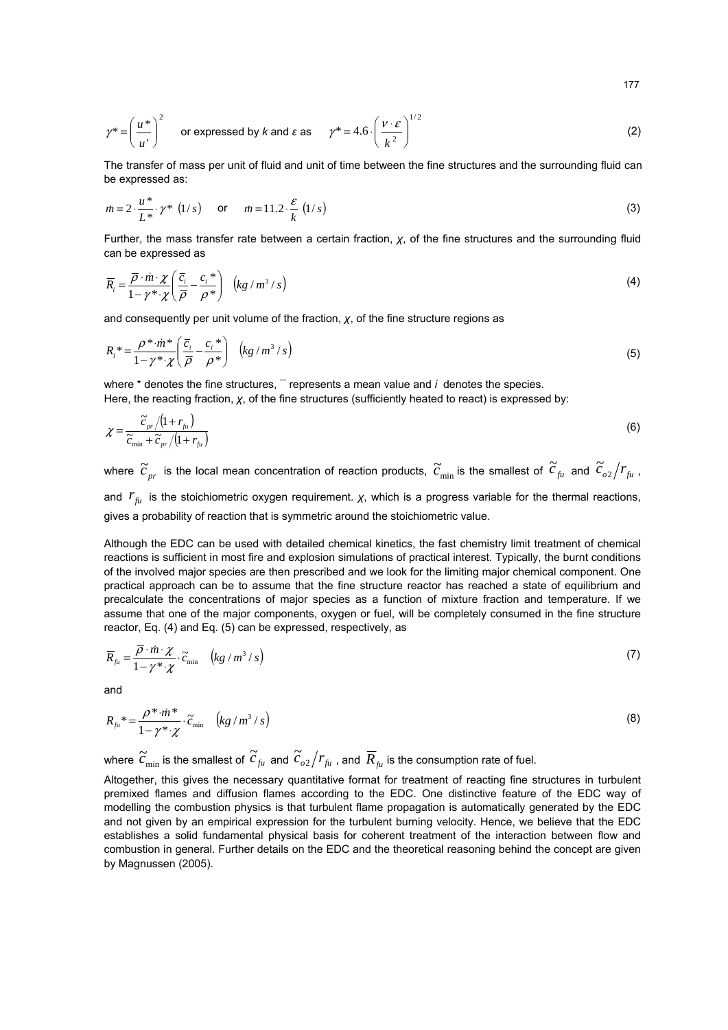$$
\gamma^* = \left(\frac{u^*}{u^*}\right)^2 \quad \text{or expressed by } k \text{ and } \varepsilon \text{ as } \quad \gamma^* = 4.6 \cdot \left(\frac{v \cdot \varepsilon}{k^2}\right)^{1/2} \tag{2}
$$

The transfer of mass per unit of fluid and unit of time between the fine structures and the surrounding fluid can be expressed as:

$$
m = 2 \cdot \frac{u^*}{L^*} \cdot \gamma^* \quad (1/s) \qquad \text{or} \qquad m = 11.2 \cdot \frac{\varepsilon}{k} \quad (1/s)
$$

 Further, the mass transfer rate between a certain fraction, *χ*, of the fine structures and the surrounding fluid can be expressed as

$$
\overline{R}_i = \frac{\overline{\rho} \cdot \dot{m} \cdot \chi}{1 - \gamma^* \cdot \chi} \left( \frac{\overline{c}_i}{\overline{\rho}} - \frac{c_i}{\rho^*} \right) \quad \left( kg / m^3 / s \right)
$$
\n(4)

and consequently per unit volume of the fraction, *χ*, of the fine structure regions as

$$
R_i^* = \frac{\rho^* \cdot m^*}{1 - \gamma^* \cdot \chi} \left( \frac{\overline{c}_i}{\overline{\rho}} - \frac{c_i}{\rho^*} \right) \left( k g / m^3 / s \right) \tag{5}
$$

where \* denotes the fine structures, **¯** represents a mean value and *i* denotes the species. Here, the reacting fraction, *χ*, of the fine structures (sufficiently heated to react) is expressed by:

$$
\chi = \frac{\widetilde{c}_{pr} / (1 + r_{f_{ii}})}{\widetilde{c}_{\min} + \widetilde{c}_{pr} / (1 + r_{f_{ii}})}
$$
(6)

where  $\widetilde{c}_{_{pr}}$  is the local mean concentration of reaction products,  $\widetilde{c}_{\min}$  is the smallest of  $\widetilde{c}_{_{fl}}$  and  $\widetilde{c}_{_{o2}}/r_{_{fl}}$  , and  $r_{\rm f\mu}$  is the stoichiometric oxygen requirement. *χ*, which is a progress variable for the thermal reactions, gives a probability of reaction that is symmetric around the stoichiometric value.

Although the EDC can be used with detailed chemical kinetics, the fast chemistry limit treatment of chemical reactions is sufficient in most fire and explosion simulations of practical interest. Typically, the burnt conditions of the involved major species are then prescribed and we look for the limiting major chemical component. One practical approach can be to assume that the fine structure reactor has reached a state of equilibrium and precalculate the concentrations of major species as a function of mixture fraction and temperature. If we assume that one of the major components, oxygen or fuel, will be completely consumed in the fine structure reactor, Eq. (4) and Eq. (5) can be expressed, respectively, as

$$
\overline{R}_{\scriptscriptstyle{f\mu}} = \frac{\overline{\rho} \cdot \dot{m} \cdot \chi}{1 - \gamma^* \cdot \chi} \cdot \widetilde{c}_{\scriptscriptstyle{\min}} \quad \left( \frac{kg}{m^3 / s} \right) \tag{7}
$$

and

$$
R_{\scriptscriptstyle{fu}}^* = \frac{\rho^* \cdot m^*}{1 - \gamma^* \cdot \chi} \cdot \tilde{c}_{\scriptscriptstyle{min}} \quad \left( kg / m^3 / s \right) \tag{8}
$$

where  $\widetilde{c}_{\min}$  is the smallest of  $\widetilde{c}_{\scriptscriptstyle f\mu}$  and  $\widetilde{c}_{\scriptscriptstyle \sigma 2}/r_{\scriptscriptstyle f\mu}$  , and  $\overline{R}_{\scriptscriptstyle f\mu}$  is the consumption rate of fuel.

Altogether, this gives the necessary quantitative format for treatment of reacting fine structures in turbulent premixed flames and diffusion flames according to the EDC. One distinctive feature of the EDC way of modelling the combustion physics is that turbulent flame propagation is automatically generated by the EDC and not given by an empirical expression for the turbulent burning velocity. Hence, we believe that the EDC establishes a solid fundamental physical basis for coherent treatment of the interaction between flow and combustion in general. Further details on the EDC and the theoretical reasoning behind the concept are given by Magnussen (2005).

177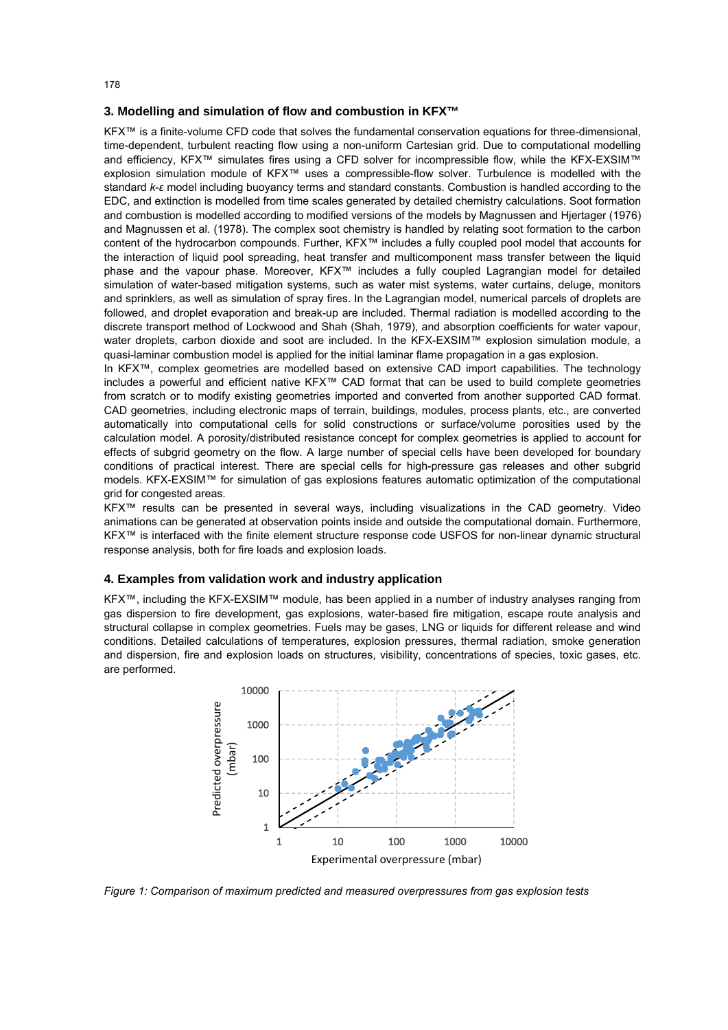### **3. Modelling and simulation of flow and combustion in KFX™**

KFX™ is a finite-volume CFD code that solves the fundamental conservation equations for three-dimensional, time-dependent, turbulent reacting flow using a non-uniform Cartesian grid. Due to computational modelling and efficiency, KFX™ simulates fires using a CFD solver for incompressible flow, while the KFX-EXSIM™ explosion simulation module of KFX™ uses a compressible-flow solver. Turbulence is modelled with the standard *k*-*ε* model including buoyancy terms and standard constants. Combustion is handled according to the EDC, and extinction is modelled from time scales generated by detailed chemistry calculations. Soot formation and combustion is modelled according to modified versions of the models by Magnussen and Hjertager (1976) and Magnussen et al. (1978). The complex soot chemistry is handled by relating soot formation to the carbon content of the hydrocarbon compounds. Further, KFX™ includes a fully coupled pool model that accounts for the interaction of liquid pool spreading, heat transfer and multicomponent mass transfer between the liquid phase and the vapour phase. Moreover, KFX™ includes a fully coupled Lagrangian model for detailed simulation of water-based mitigation systems, such as water mist systems, water curtains, deluge, monitors and sprinklers, as well as simulation of spray fires. In the Lagrangian model, numerical parcels of droplets are followed, and droplet evaporation and break-up are included. Thermal radiation is modelled according to the discrete transport method of Lockwood and Shah (Shah, 1979), and absorption coefficients for water vapour, water droplets, carbon dioxide and soot are included. In the KFX-EXSIM™ explosion simulation module, a quasi-laminar combustion model is applied for the initial laminar flame propagation in a gas explosion.

In KFX™, complex geometries are modelled based on extensive CAD import capabilities. The technology includes a powerful and efficient native KFX™ CAD format that can be used to build complete geometries from scratch or to modify existing geometries imported and converted from another supported CAD format. CAD geometries, including electronic maps of terrain, buildings, modules, process plants, etc., are converted automatically into computational cells for solid constructions or surface/volume porosities used by the calculation model. A porosity/distributed resistance concept for complex geometries is applied to account for effects of subgrid geometry on the flow. A large number of special cells have been developed for boundary conditions of practical interest. There are special cells for high-pressure gas releases and other subgrid models. KFX-EXSIM™ for simulation of gas explosions features automatic optimization of the computational grid for congested areas.

KFX™ results can be presented in several ways, including visualizations in the CAD geometry. Video animations can be generated at observation points inside and outside the computational domain. Furthermore, KFX™ is interfaced with the finite element structure response code USFOS for non-linear dynamic structural response analysis, both for fire loads and explosion loads.

# **4. Examples from validation work and industry application**

KFX™, including the KFX-EXSIM™ module, has been applied in a number of industry analyses ranging from gas dispersion to fire development, gas explosions, water-based fire mitigation, escape route analysis and structural collapse in complex geometries. Fuels may be gases, LNG or liquids for different release and wind conditions. Detailed calculations of temperatures, explosion pressures, thermal radiation, smoke generation and dispersion, fire and explosion loads on structures, visibility, concentrations of species, toxic gases, etc. are performed.

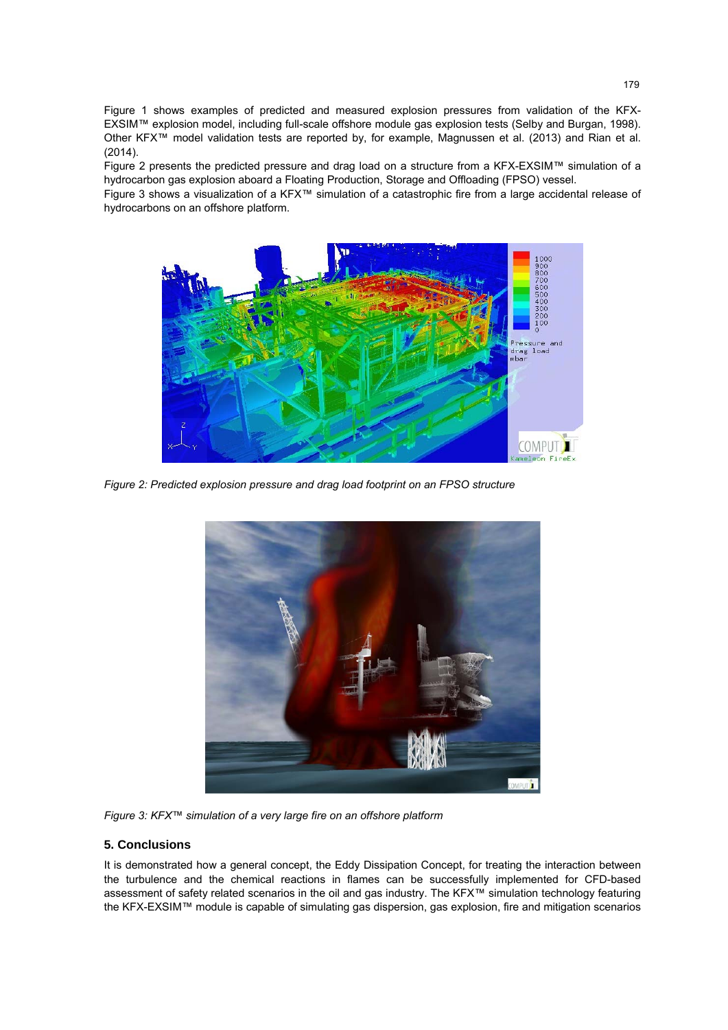Figure 1 shows examples of predicted and measured explosion pressures from validation of the KFX-EXSIM™ explosion model, including full-scale offshore module gas explosion tests (Selby and Burgan, 1998). Other KFX™ model validation tests are reported by, for example, Magnussen et al. (2013) and Rian et al. (2014).

Figure 2 presents the predicted pressure and drag load on a structure from a KFX-EXSIM™ simulation of a hydrocarbon gas explosion aboard a Floating Production, Storage and Offloading (FPSO) vessel.

Figure 3 shows a visualization of a KFX™ simulation of a catastrophic fire from a large accidental release of hydrocarbons on an offshore platform.



*Figure 2: Predicted explosion pressure and drag load footprint on an FPSO structure* 



*Figure 3: KFX™ simulation of a very large fire on an offshore platform* 

## **5. Conclusions**

It is demonstrated how a general concept, the Eddy Dissipation Concept, for treating the interaction between the turbulence and the chemical reactions in flames can be successfully implemented for CFD-based assessment of safety related scenarios in the oil and gas industry. The KFX™ simulation technology featuring the KFX-EXSIM™ module is capable of simulating gas dispersion, gas explosion, fire and mitigation scenarios